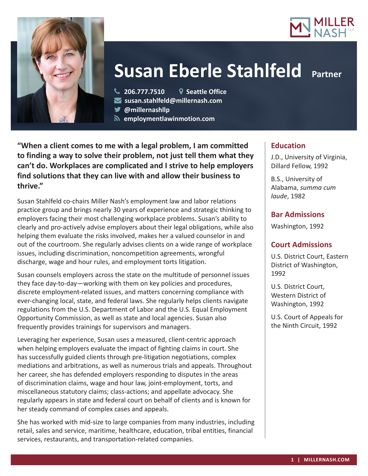



**206.777.7510 Seattle Office**

**susan.stahlfeld@millernash.com** 

**@millernashllp** 

 **employmentlawinmotion.com**

**"When a client comes to me with a legal problem, I am committed to finding a way to solve their problem, not just tell them what they can't do. Workplaces are complicated and I strive to help employers find solutions that they can live with and allow their business to thrive."**

Susan Stahlfeld co-chairs Miller Nash's employment law and labor relations practice group and brings nearly 30 years of experience and strategic thinking to employers facing their most challenging workplace problems. Susan's ability to clearly and pro-actively advise employers about their legal obligations, while also helping them evaluate the risks involved, makes her a valued counselor in and out of the courtroom. She regularly advises clients on a wide range of workplace issues, including discrimination, noncompetition agreements, wrongful discharge, wage and hour rules, and employment torts litigation.

Susan counsels employers across the state on the multitude of personnel issues they face day-to-day—working with them on key policies and procedures, discrete employment-related issues, and matters concerning compliance with ever-changing local, state, and federal laws. She regularly helps clients navigate regulations from the U.S. Department of Labor and the U.S. Equal Employment Opportunity Commission, as well as state and local agencies. Susan also frequently provides trainings for supervisors and managers.

Leveraging her experience, Susan uses a measured, client-centric approach when helping employers evaluate the impact of fighting claims in court. She has successfully guided clients through pre-litigation negotiations, complex mediations and arbitrations, as well as numerous trials and appeals. Throughout her career, she has defended employers responding to disputes in the areas of discrimination claims, wage and hour law, joint-employment, torts, and miscellaneous statutory claims; class-actions; and appellate advocacy. She regularly appears in state and federal court on behalf of clients and is known for her steady command of complex cases and appeals.

She has worked with mid-size to large companies from many industries, including retail, sales and service, maritime, healthcare, education, tribal entities, financial services, restaurants, and transportation-related companies.

# **Education**

J.D., University of Virginia, Dillard Fellow, 1992

B.S., University of Alabama, *summa cum laude*, 1982

# **Bar Admissions**

Washington, 1992

# **Court Admissions**

U.S. District Court, Eastern District of Washington, 1992

U.S. District Court, Western District of Washington, 1992

U.S. Court of Appeals for the Ninth Circuit, 1992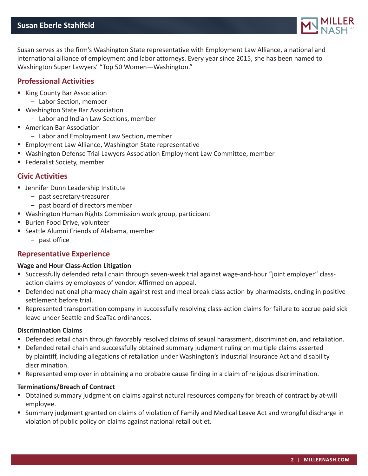

Susan serves as the firm's Washington State representative with Employment Law Alliance, a national and international alliance of employment and labor attorneys. Every year since 2015, she has been named to Washington Super Lawyers' "Top 50 Women—Washington."

## **Professional Activities**

- King County Bar Association
	- Labor Section, member
- Washington State Bar Association
	- Labor and Indian Law Sections, member
- American Bar Association
	- Labor and Employment Law Section, member
- **Employment Law Alliance, Washington State representative**
- Washington Defense Trial Lawyers Association Employment Law Committee, member
- **Federalist Society, member**

## **Civic Activities**

- **■** Jennifer Dunn Leadership Institute
	- past secretary-treasurer
	- past board of directors member
- Washington Human Rights Commission work group, participant
- **Burien Food Drive, volunteer**
- Seattle Alumni Friends of Alabama, member
	- past office

# **Representative Experience**

#### **Wage and Hour Class-Action Litigation**

- Successfully defended retail chain through seven-week trial against wage-and-hour "joint employer" classaction claims by employees of vendor. Affirmed on appeal.
- Defended national pharmacy chain against rest and meal break class action by pharmacists, ending in positive settlement before trial.
- Represented transportation company in successfully resolving class-action claims for failure to accrue paid sick leave under Seattle and SeaTac ordinances.

#### **Discrimination Claims**

- Defended retail chain through favorably resolved claims of sexual harassment, discrimination, and retaliation.
- **Defended retail chain and successfully obtained summary judgment ruling on multiple claims asserted** by plaintiff, including allegations of retaliation under Washington's Industrial Insurance Act and disability discrimination.
- Represented employer in obtaining a no probable cause finding in a claim of religious discrimination.

#### **Terminations/Breach of Contract**

- Obtained summary judgment on claims against natural resources company for breach of contract by at-will employee.
- Summary judgment granted on claims of violation of Family and Medical Leave Act and wrongful discharge in violation of public policy on claims against national retail outlet.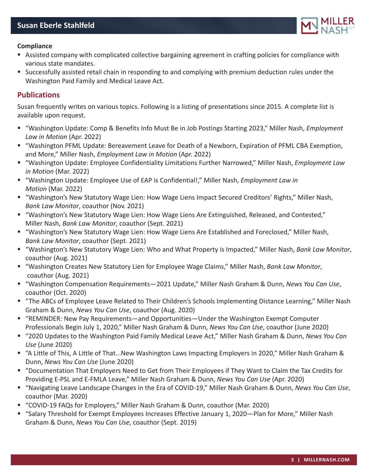

#### **Compliance**

- Assisted company with complicated collective bargaining agreement in crafting policies for compliance with various state mandates.
- Successfully assisted retail chain in responding to and complying with premium deduction rules under the Washington Paid Family and Medical Leave Act.

### **Publications**

Susan frequently writes on various topics. Following is a listing of presentations since 2015. A complete list is available upon request.

- "Washington Update: Comp & Benefits Info Must Be in Job Postings Starting 2023," Miller Nash, *Employment Law in Motion* (Apr. 2022)
- "Washington PFML Update: Bereavement Leave for Death of a Newborn, Expiration of PFML CBA Exemption, and More," Miller Nash, *Employment Law in Motion* (Apr. 2022)
- "Washington Update: Employee Confidentiality Limitations Further Narrowed," Miller Nash, *Employment Law in Motion* (Mar. 2022)
- "Washington Update: Employee Use of EAP is Confidential!," Miller Nash, *Employment Law in Motion* (Mar. 2022)
- "Washington's New Statutory Wage Lien: How Wage Liens Impact Secured Creditors' Rights," Miller Nash, *Bank Law Monitor*, coauthor (Nov. 2021)
- "Washington's New Statutory Wage Lien: How Wage Liens Are Extinguished, Released, and Contested," Miller Nash, *Bank Law Monitor*, coauthor (Sept. 2021)
- "Washington's New Statutory Wage Lien: How Wage Liens Are Established and Foreclosed," Miller Nash, *Bank Law Monitor*, coauthor (Sept. 2021)
- "Washington's New Statutory Wage Lien: Who and What Property is Impacted," Miller Nash, *Bank Law Monitor*, coauthor (Aug. 2021)
- "Washington Creates New Statutory Lien for Employee Wage Claims," Miller Nash, *Bank Law Monitor*, coauthor (Aug. 2021)
- "Washington Compensation Requirements—2021 Update," Miller Nash Graham & Dunn, *News You Can Use*, coauthor (Oct. 2020)
- "The ABCs of Employee Leave Related to Their Children's Schools Implementing Distance Learning," Miller Nash Graham & Dunn, *News You Can Use*, coauthor (Aug. 2020)
- "REMINDER: New Pay Requirements—and Opportunities—Under the Washington Exempt Computer Professionals Begin July 1, 2020," Miller Nash Graham & Dunn, *News You Can Use*, coauthor (June 2020)
- "2020 Updates to the Washington Paid Family Medical Leave Act," Miller Nash Graham & Dunn, News You Can *Use* (June 2020)
- "A Little of This, A Little of That...New Washington Laws Impacting Employers in 2020," Miller Nash Graham & Dunn, *News You Can Use* (June 2020)
- "Documentation That Employers Need to Get from Their Employees if They Want to Claim the Tax Credits for Providing E-PSL and E-FMLA Leave," Miller Nash Graham & Dunn, *News You Can Use* (Apr. 2020)
- "Navigating Leave Landscape Changes in the Era of COVID-19," Miller Nash Graham & Dunn, *News You Can Use*, coauthor (Mar. 2020)
- "COVID-19 FAQs for Employers," Miller Nash Graham & Dunn, coauthor (Mar. 2020)
- "Salary Threshold for Exempt Employees Increases Effective January 1, 2020—Plan for More," Miller Nash Graham & Dunn, *News You Can Use*, coauthor (Sept. 2019)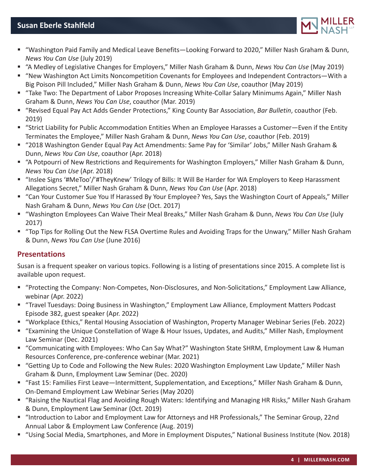

- "Washington Paid Family and Medical Leave Benefits—Looking Forward to 2020," Miller Nash Graham & Dunn, *News You Can Use* (July 2019)
- "A Medley of Legislative Changes for Employers," Miller Nash Graham & Dunn, *News You Can Use* (May 2019)
- "New Washington Act Limits Noncompetition Covenants for Employees and Independent Contractors—With a Big Poison Pill Included," Miller Nash Graham & Dunn, *News You Can Use*, coauthor (May 2019)
- "Take Two: The Department of Labor Proposes Increasing White-Collar Salary Minimums Again," Miller Nash Graham & Dunn, *News You Can Use*, coauthor (Mar. 2019)
- "Revised Equal Pay Act Adds Gender Protections," King County Bar Association, *Bar Bulletin*, coauthor (Feb. 2019)
- "Strict Liability for Public Accommodation Entities When an Employee Harasses a Customer—Even if the Entity Terminates the Employee," Miller Nash Graham & Dunn, *News You Can Use*, coauthor (Feb. 2019)
- "2018 Washington Gender Equal Pay Act Amendments: Same Pay for 'Similar' Jobs," Miller Nash Graham & Dunn, *News You Can Use*, coauthor (Apr. 2018)
- "A Potpourri of New Restrictions and Requirements for Washington Employers," Miller Nash Graham & Dunn, *News You Can Use* (Apr. 2018)
- "Inslee Signs '#MeToo'/'#TheyKnew' Trilogy of Bills: It Will Be Harder for WA Employers to Keep Harassment Allegations Secret," Miller Nash Graham & Dunn, *News You Can Use* (Apr. 2018)
- "Can Your Customer Sue You If Harassed By Your Employee? Yes, Says the Washington Court of Appeals," Miller Nash Graham & Dunn, *News You Can Use* (Oct. 2017)
- "Washington Employees Can Waive Their Meal Breaks," Miller Nash Graham & Dunn, *News You Can Use* (July 2017)
- "Top Tips for Rolling Out the New FLSA Overtime Rules and Avoiding Traps for the Unwary," Miller Nash Graham & Dunn, *News You Can Use* (June 2016)

# **Presentations**

Susan is a frequent speaker on various topics. Following is a listing of presentations since 2015. A complete list is available upon request.

- "Protecting the Company: Non-Competes, Non-Disclosures, and Non-Solicitations," Employment Law Alliance, webinar (Apr. 2022)
- "Travel Tuesdays: Doing Business in Washington," Employment Law Alliance, Employment Matters Podcast Episode 382, guest speaker (Apr. 2022)
- "Workplace Ethics," Rental Housing Association of Washington, Property Manager Webinar Series (Feb. 2022)
- "Examining the Unique Constellation of Wage & Hour Issues, Updates, and Audits," Miller Nash, Employment Law Seminar (Dec. 2021)
- "Communicating with Employees: Who Can Say What?" Washington State SHRM, Employment Law & Human Resources Conference, pre-conference webinar (Mar. 2021)
- "Getting Up to Code and Following the New Rules: 2020 Washington Employment Law Update," Miller Nash Graham & Dunn, Employment Law Seminar (Dec. 2020)
- "Fast 15: Families First Leave—Intermittent, Supplementation, and Exceptions," Miller Nash Graham & Dunn, On-Demand Employment Law Webinar Series (May 2020)
- "Raising the Nautical Flag and Avoiding Rough Waters: Identifying and Managing HR Risks," Miller Nash Graham & Dunn, Employment Law Seminar (Oct. 2019)
- "Introduction to Labor and Employment Law for Attorneys and HR Professionals," The Seminar Group, 22nd Annual Labor & Employment Law Conference (Aug. 2019)
- "Using Social Media, Smartphones, and More in Employment Disputes," National Business Institute (Nov. 2018)